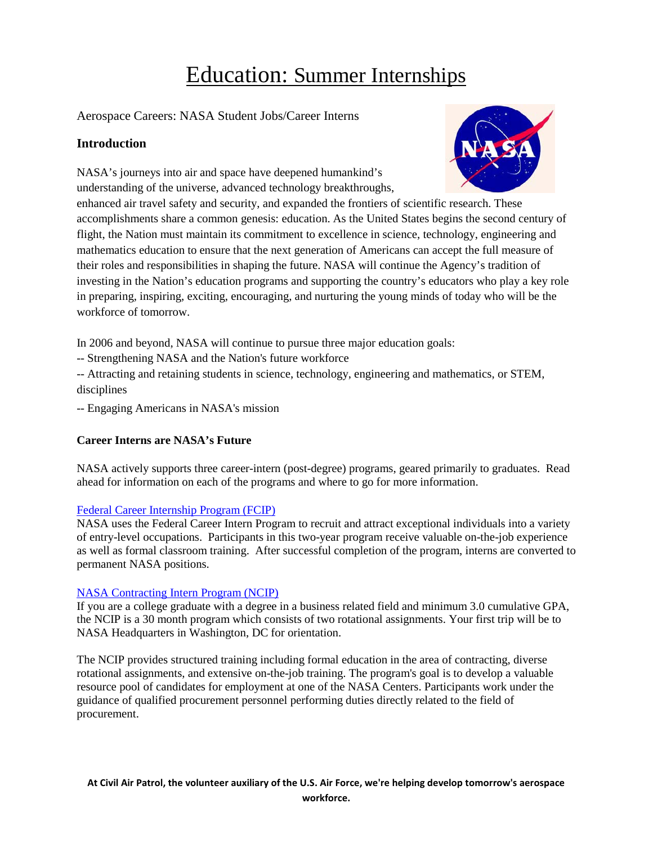# Education: Summer Internships

Aerospace Careers: NASA Student Jobs/Career Interns

## **Introduction**

NASA's journeys into air and space have deepened humankind's understanding of the universe, advanced technology breakthroughs,



enhanced air travel safety and security, and expanded the frontiers of scientific research. These accomplishments share a common genesis: education. As the United States begins the second century of flight, the Nation must maintain its commitment to excellence in science, technology, engineering and mathematics education to ensure that the next generation of Americans can accept the full measure of their roles and responsibilities in shaping the future. NASA will continue the Agency's tradition of investing in the Nation's education programs and supporting the country's educators who play a key role in preparing, inspiring, exciting, encouraging, and nurturing the young minds of today who will be the workforce of tomorrow.

In 2006 and beyond, NASA will continue to pursue three major education goals:

-- Strengthening NASA and the Nation's future workforce

-- Attracting and retaining students in science, technology, engineering and mathematics, or STEM, disciplines

-- Engaging Americans in NASA's mission

## **Career Interns are NASA's Future**

NASA actively supports three career-intern (post-degree) programs, geared primarily to graduates. Read ahead for information on each of the programs and where to go for more information.

## [Federal Career Internship Program \(FCIP\)](http://www.opm.gov/careerintern/index.asp)

NASA uses the Federal Career Intern Program to recruit and attract exceptional individuals into a variety of entry-level occupations. Participants in this two-year program receive valuable on-the-job experience as well as formal classroom training. After successful completion of the program, interns are converted to permanent NASA positions.

## [NASA Contracting Intern Program \(NCIP\)](http://ncip.nssc.nasa.gov/)

If you are a college graduate with a degree in a business related field and minimum 3.0 cumulative GPA, the NCIP is a 30 month program which consists of two rotational assignments. Your first trip will be to NASA Headquarters in Washington, DC for orientation.

The NCIP provides structured training including formal education in the area of contracting, diverse rotational assignments, and extensive on-the-job training. The program's goal is to develop a valuable resource pool of candidates for employment at one of the NASA Centers. Participants work under the guidance of qualified procurement personnel performing duties directly related to the field of procurement.